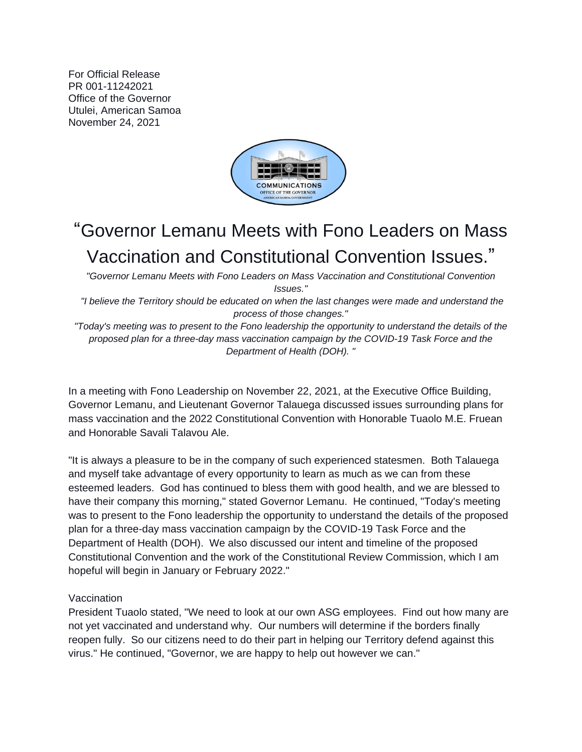For Official Release PR 001-11242021 Office of the Governor Utulei, American Samoa November 24, 2021



## "Governor Lemanu Meets with Fono Leaders on Mass Vaccination and Constitutional Convention Issues."

*"Governor Lemanu Meets with Fono Leaders on Mass Vaccination and Constitutional Convention Issues."*

*"I believe the Territory should be educated on when the last changes were made and understand the process of those changes."*

*"Today's meeting was to present to the Fono leadership the opportunity to understand the details of the proposed plan for a three-day mass vaccination campaign by the COVID-19 Task Force and the Department of Health (DOH). "*

In a meeting with Fono Leadership on November 22, 2021, at the Executive Office Building, Governor Lemanu, and Lieutenant Governor Talauega discussed issues surrounding plans for mass vaccination and the 2022 Constitutional Convention with Honorable Tuaolo M.E. Fruean and Honorable Savali Talavou Ale.

"It is always a pleasure to be in the company of such experienced statesmen. Both Talauega and myself take advantage of every opportunity to learn as much as we can from these esteemed leaders. God has continued to bless them with good health, and we are blessed to have their company this morning," stated Governor Lemanu. He continued, "Today's meeting was to present to the Fono leadership the opportunity to understand the details of the proposed plan for a three-day mass vaccination campaign by the COVID-19 Task Force and the Department of Health (DOH). We also discussed our intent and timeline of the proposed Constitutional Convention and the work of the Constitutional Review Commission, which I am hopeful will begin in January or February 2022."

## Vaccination

President Tuaolo stated, "We need to look at our own ASG employees. Find out how many are not yet vaccinated and understand why. Our numbers will determine if the borders finally reopen fully. So our citizens need to do their part in helping our Territory defend against this virus." He continued, "Governor, we are happy to help out however we can."